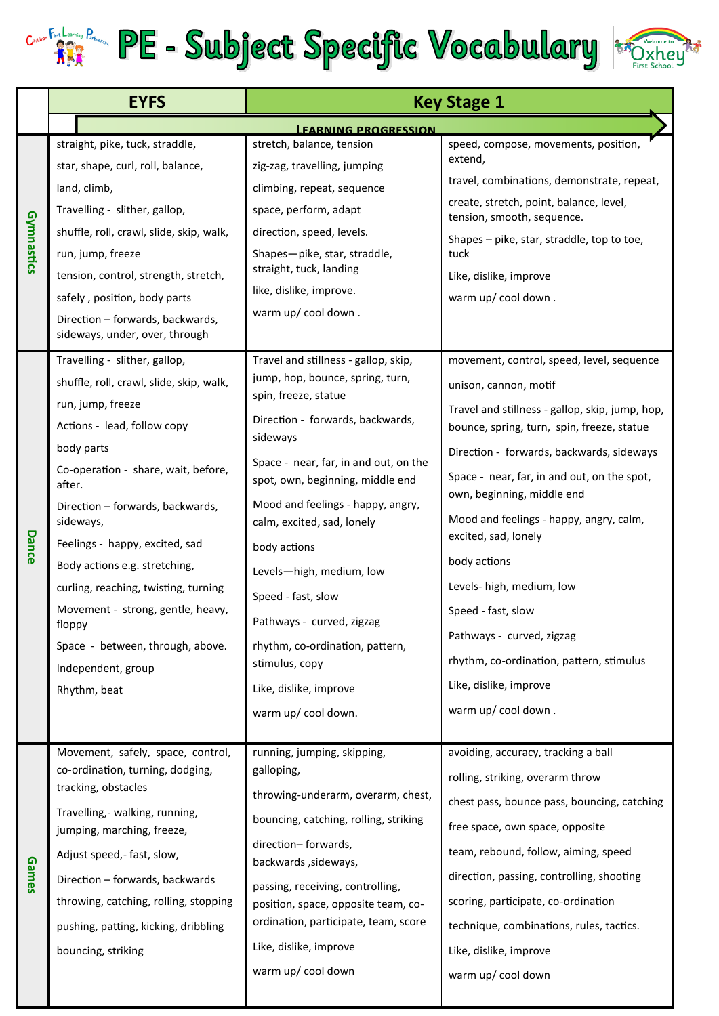



|            | <b>EYFS</b>                                                                                                                                                                                                                                                                                                                                                                                                                                                                       | <b>Key Stage 1</b>                                                                                                                                                                                                                                                                                                                                                                                                                                                                                    |                                                                                                                                                                                                                                                                                                                                                                                                                                                                                                                                                               |
|------------|-----------------------------------------------------------------------------------------------------------------------------------------------------------------------------------------------------------------------------------------------------------------------------------------------------------------------------------------------------------------------------------------------------------------------------------------------------------------------------------|-------------------------------------------------------------------------------------------------------------------------------------------------------------------------------------------------------------------------------------------------------------------------------------------------------------------------------------------------------------------------------------------------------------------------------------------------------------------------------------------------------|---------------------------------------------------------------------------------------------------------------------------------------------------------------------------------------------------------------------------------------------------------------------------------------------------------------------------------------------------------------------------------------------------------------------------------------------------------------------------------------------------------------------------------------------------------------|
|            |                                                                                                                                                                                                                                                                                                                                                                                                                                                                                   | <b>LEARNING PROGRESSION</b>                                                                                                                                                                                                                                                                                                                                                                                                                                                                           |                                                                                                                                                                                                                                                                                                                                                                                                                                                                                                                                                               |
| Gymnastics | straight, pike, tuck, straddle,<br>star, shape, curl, roll, balance,<br>land, climb,<br>Travelling - slither, gallop,<br>shuffle, roll, crawl, slide, skip, walk,<br>run, jump, freeze<br>tension, control, strength, stretch,<br>safely, position, body parts<br>Direction - forwards, backwards,<br>sideways, under, over, through                                                                                                                                              | stretch, balance, tension<br>zig-zag, travelling, jumping<br>climbing, repeat, sequence<br>space, perform, adapt<br>direction, speed, levels.<br>Shapes-pike, star, straddle,<br>straight, tuck, landing<br>like, dislike, improve.<br>warm up/ cool down.                                                                                                                                                                                                                                            | speed, compose, movements, position,<br>extend,<br>travel, combinations, demonstrate, repeat,<br>create, stretch, point, balance, level,<br>tension, smooth, sequence.<br>Shapes - pike, star, straddle, top to toe,<br>tuck<br>Like, dislike, improve<br>warm up/ cool down.                                                                                                                                                                                                                                                                                 |
| Dance      | Travelling - slither, gallop,<br>shuffle, roll, crawl, slide, skip, walk,<br>run, jump, freeze<br>Actions - lead, follow copy<br>body parts<br>Co-operation - share, wait, before,<br>after.<br>Direction - forwards, backwards,<br>sideways,<br>Feelings - happy, excited, sad<br>Body actions e.g. stretching,<br>curling, reaching, twisting, turning<br>Movement - strong, gentle, heavy,<br>floppy<br>Space - between, through, above.<br>Independent, group<br>Rhythm, beat | Travel and stillness - gallop, skip,<br>jump, hop, bounce, spring, turn,<br>spin, freeze, statue<br>Direction - forwards, backwards,<br>sideways<br>Space - near, far, in and out, on the<br>spot, own, beginning, middle end<br>Mood and feelings - happy, angry,<br>calm, excited, sad, lonely<br>body actions<br>Levels-high, medium, low<br>Speed - fast, slow<br>Pathways - curved, zigzag<br>rhythm, co-ordination, pattern,<br>stimulus, copy<br>Like, dislike, improve<br>warm up/ cool down. | movement, control, speed, level, sequence<br>unison, cannon, motif<br>Travel and stillness - gallop, skip, jump, hop,<br>bounce, spring, turn, spin, freeze, statue<br>Direction - forwards, backwards, sideways<br>Space - near, far, in and out, on the spot,<br>own, beginning, middle end<br>Mood and feelings - happy, angry, calm,<br>excited, sad, lonely<br>body actions<br>Levels- high, medium, low<br>Speed - fast, slow<br>Pathways - curved, zigzag<br>rhythm, co-ordination, pattern, stimulus<br>Like, dislike, improve<br>warm up/ cool down. |
| Games      | Movement, safely, space, control,<br>co-ordination, turning, dodging,<br>tracking, obstacles<br>Travelling,- walking, running,<br>jumping, marching, freeze,<br>Adjust speed, - fast, slow,<br>Direction - forwards, backwards<br>throwing, catching, rolling, stopping<br>pushing, patting, kicking, dribbling<br>bouncing, striking                                                                                                                                             | running, jumping, skipping,<br>galloping,<br>throwing-underarm, overarm, chest,<br>bouncing, catching, rolling, striking<br>direction-forwards,<br>backwards, sideways,<br>passing, receiving, controlling,<br>position, space, opposite team, co-<br>ordination, participate, team, score<br>Like, dislike, improve<br>warm up/ cool down                                                                                                                                                            | avoiding, accuracy, tracking a ball<br>rolling, striking, overarm throw<br>chest pass, bounce pass, bouncing, catching<br>free space, own space, opposite<br>team, rebound, follow, aiming, speed<br>direction, passing, controlling, shooting<br>scoring, participate, co-ordination<br>technique, combinations, rules, tactics.<br>Like, dislike, improve<br>warm up/ cool down                                                                                                                                                                             |